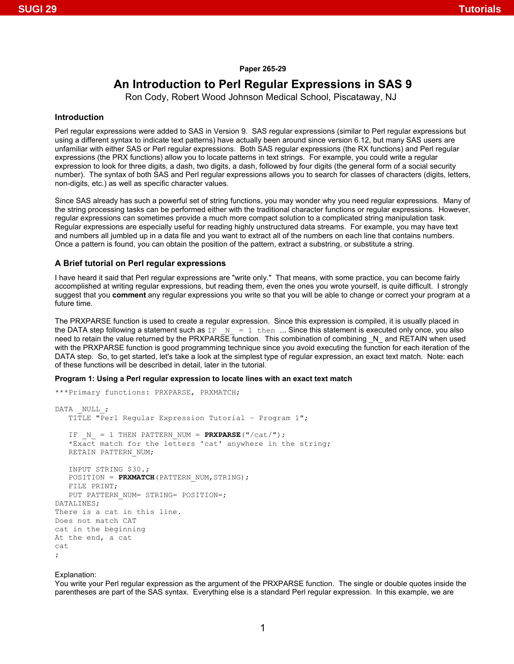## **Paper 265-29**

# **An Introduction to Perl Regular Expressions in SAS 9**

Ron Cody, Robert Wood Johnson Medical School, Piscataway, NJ

## **Introduction**

Perl regular expressions were added to SAS in Version 9. SAS regular expressions (similar to Perl regular expressions but using a different syntax to indicate text patterns) have actually been around since version 6.12, but many SAS users are unfamiliar with either SAS or Perl regular expressions. Both SAS regular expressions (the RX functions) and Perl regular expressions (the PRX functions) allow you to locate patterns in text strings. For example, you could write a regular expression to look for three digits, a dash, two digits, a dash, followed by four digits (the general form of a social security number). The syntax of both SAS and Perl regular expressions allows you to search for classes of characters (digits, letters, non-digits, etc.) as well as specific character values.

Since SAS already has such a powerful set of string functions, you may wonder why you need regular expressions. Many of the string processing tasks can be performed either with the traditional character functions or regular expressions. However, regular expressions can sometimes provide a much more compact solution to a complicated string manipulation task. Regular expressions are especially useful for reading highly unstructured data streams. For example, you may have text and numbers all jumbled up in a data file and you want to extract all of the numbers on each line that contains numbers. Once a pattern is found, you can obtain the position of the pattern, extract a substring, or substitute a string.

## **A Brief tutorial on Perl regular expressions**

I have heard it said that Perl regular expressions are "write only." That means, with some practice, you can become fairly accomplished at writing regular expressions, but reading them, even the ones you wrote yourself, is quite difficult. I strongly suggest that you **comment** any regular expressions you write so that you will be able to change or correct your program at a future time.

The PRXPARSE function is used to create a regular expression. Since this expression is compiled, it is usually placed in the DATA step following a statement such as  $IF_M = 1$  then  $....$  Since this statement is executed only once, you also need to retain the value returned by the PRXPARSE function. This combination of combining N\_ and RETAIN when used with the PRXPARSE function is good programming technique since you avoid executing the function for each iteration of the DATA step. So, to get started, let's take a look at the simplest type of regular expression, an exact text match. Note: each of these functions will be described in detail, later in the tutorial.

## <span id="page-0-0"></span>**Program 1: Using a Perl regular expression to locate lines with an exact text match**

```
***Primary functions: PRXPARSE, PRXMATCH; 
DATA NULL;
   TITLE "Perl Regular Expression Tutorial - Program 1";
   IF _N = 1 THEN PATTERN_NUM = PRXPARSE("/cat/");
   *Exact match for the letters 'cat' anywhere in the string;
    RETAIN PATTERN_NUM; 
    INPUT STRING $30.; 
   POSITION = PRXMATCH(PATTERN_NUM, STRING);
    FILE PRINT; 
   PUT PATTERN NUM= STRING= POSITION=;
DATALINES; 
There is a cat in this line. 
Does not match CAT 
cat in the beginning 
At the end, a cat 
cat 
;
```
### Explanation:

You write your Perl regular expression as the argument of the PRXPARSE function. The single or double quotes inside the parentheses are part of the SAS syntax. Everything else is a standard Perl regular expression. In this example, we are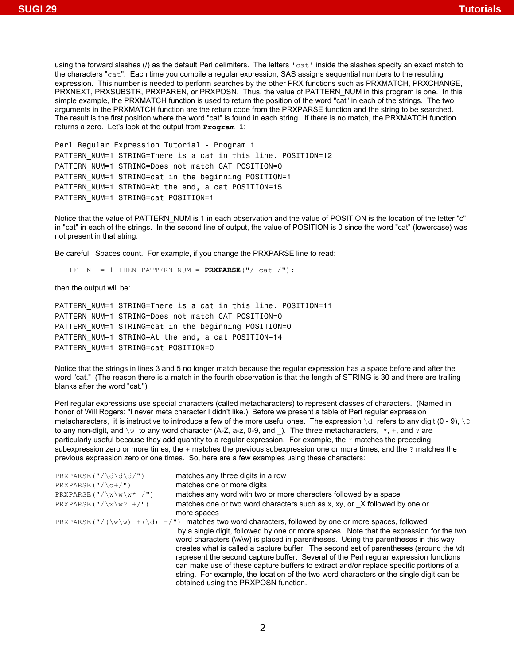using the forward slashes (/) as the default Perl delimiters. The letters 'cat' inside the slashes specify an exact match to the characters "cat". Each time you compile a regular expression, SAS assigns sequential numbers to the resulting expression. This number is needed to perform searches by the other PRX functions such as PRXMATCH, PRXCHANGE, PRXNEXT, PRXSUBSTR, PRXPAREN, or PRXPOSN. Thus, the value of PATTERN NUM in this program is one. In this simple example, the PRXMATCH function is used to return the position of the word "cat" in each of the strings. The two arguments in the PRXMATCH function are the return code from the PRXPARSE function and the string to be searched. The result is the first position where the word "cat" is found in each string. If there is no match, the PRXMATCH function returns a zero. Let's look at the output from **[Program 1](#page-0-0)**:

Perl Regular Expression Tutorial - Program 1 PATTERN NUM=1 STRING=There is a cat in this line. POSITION=12 PATTERN NUM=1 STRING=Does not match CAT POSITION=0 PATTERN NUM=1 STRING=cat in the beginning POSITION=1 PATTERN NUM=1 STRING=At the end, a cat POSITION=15 PATTERN\_NUM=1 STRING=cat POSITION=1

Notice that the value of PATTERN\_NUM is 1 in each observation and the value of POSITION is the location of the letter "c" in "cat" in each of the strings. In the second line of output, the value of POSITION is 0 since the word "cat" (lowercase) was not present in that string.

Be careful. Spaces count. For example, if you change the PRXPARSE line to read:

IF  $N = 1$  THEN PATTERN NUM = **PRXPARSE**("/ cat /");

then the output will be:

```
PATTERN NUM=1 STRING=There is a cat in this line. POSITION=11
PATTERN NUM=1 STRING=Does not match CAT POSITION=0
PATTERN NUM=1 STRING=cat in the beginning POSITION=0
PATTERN NUM=1 STRING=At the end, a cat POSITION=14
PATTERN_NUM=1 STRING=cat POSITION=0
```
Notice that the strings in lines 3 and 5 no longer match because the regular expression has a space before and after the word "cat." (The reason there is a match in the fourth observation is that the length of STRING is 30 and there are trailing blanks after the word "cat.")

Perl regular expressions use special characters (called metacharacters) to represent classes of characters. (Named in honor of Will Rogers: "I never meta character I didn't like.) Before we present a table of Perl regular expression metacharacters, it is instructive to introduce a few of the more useful ones. The expression  $\dagger$  refers to any digit (0 - 9),  $\Delta$ to any non-digit, and  $\setminus w$  to any word character (A-Z, a-z, 0-9, and ). The three metacharacters,  $\ast$ ,  $\ast$ , and ? are particularly useful because they add quantity to a regular expression. For example, the  $*$  matches the preceding subexpression zero or more times; the + matches the previous subexpression one or more times, and the ? matches the previous expression zero or one times. So, here are a few examples using these characters:

| PRXPARSE("/\d\d\d/")                          | matches any three digits in a row                                                                                                                                                                                                                                                                                                                                                                                                                                                                                                                                                                                                                                                                                              |
|-----------------------------------------------|--------------------------------------------------------------------------------------------------------------------------------------------------------------------------------------------------------------------------------------------------------------------------------------------------------------------------------------------------------------------------------------------------------------------------------------------------------------------------------------------------------------------------------------------------------------------------------------------------------------------------------------------------------------------------------------------------------------------------------|
| PRXPARSE $(''/\ddot{\ddot{\,}}+/")$           | matches one or more digits                                                                                                                                                                                                                                                                                                                                                                                                                                                                                                                                                                                                                                                                                                     |
| PRXPARSE $(\frac{W}{w}\wedge w\wedge w^*$ /") | matches any word with two or more characters followed by a space                                                                                                                                                                                                                                                                                                                                                                                                                                                                                                                                                                                                                                                               |
| PRXPARSE $(\frac{11}{w(w^2 + 1))$             | matches one or two word characters such as x, xy, or X followed by one or                                                                                                                                                                                                                                                                                                                                                                                                                                                                                                                                                                                                                                                      |
|                                               | more spaces                                                                                                                                                                                                                                                                                                                                                                                                                                                                                                                                                                                                                                                                                                                    |
|                                               | PRXPARSE ("/ $(\forall w \forall w) + (\forall d) +$ ") matches two word characters, followed by one or more spaces, followed<br>by a single digit, followed by one or more spaces. Note that the expression for the two<br>word characters (\w\w) is placed in parentheses. Using the parentheses in this way<br>creates what is called a capture buffer. The second set of parentheses (around the \d)<br>represent the second capture buffer. Several of the Perl regular expression functions<br>can make use of these capture buffers to extract and/or replace specific portions of a<br>string. For example, the location of the two word characters or the single digit can be<br>obtained using the PRXPOSN function. |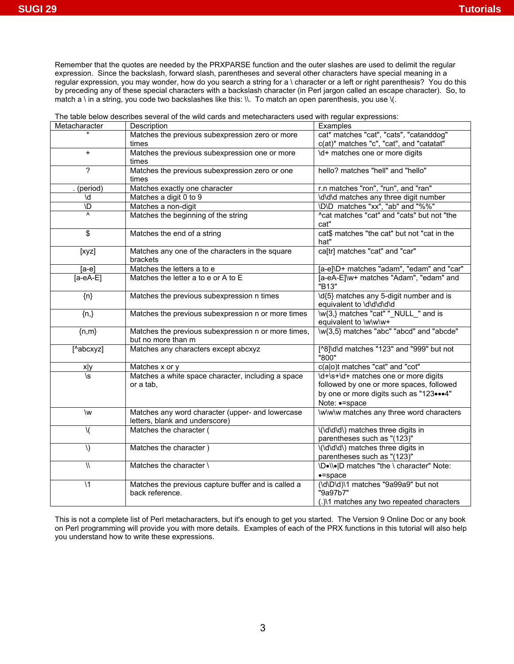Remember that the quotes are needed by the PRXPARSE function and the outer slashes are used to delimit the regular expression. Since the backslash, forward slash, parentheses and several other characters have special meaning in a regular expression, you may wonder, how do you search a string for a \ character or a left or right parenthesis? You do this by preceding any of these special characters with a backslash character (in Perl jargon called an escape character). So, to match a \ in a string, you code two backslashes like this:  $\mathcal{N}$ . To match an open parenthesis, you use  $\mathcal{N}$ .

| Metacharacter  | Description                                                                        | Examples                                                                                                                                        |
|----------------|------------------------------------------------------------------------------------|-------------------------------------------------------------------------------------------------------------------------------------------------|
|                | Matches the previous subexpression zero or more<br>times                           | cat* matches "cat", "cats", "catanddog"<br>c(at)* matches "c", "cat", and "catatat"                                                             |
| $\ddot{}$      | Matches the previous subexpression one or more<br>times                            | \d+ matches one or more digits                                                                                                                  |
| $\gamma$       | Matches the previous subexpression zero or one<br>times                            | hello? matches "hell" and "hello"                                                                                                               |
| . (period)     | Matches exactly one character                                                      | r.n matches "ron", "run", and "ran"                                                                                                             |
| \d             | Matches a digit 0 to 9                                                             | \d\d\d matches any three digit number                                                                                                           |
| $\overline{D}$ | Matches a non-digit                                                                | \D\D matches "xx", "ab" and "%%"                                                                                                                |
| $\Lambda$      | Matches the beginning of the string                                                | ^cat matches "cat" and "cats" but not "the<br>cat"                                                                                              |
| \$             | Matches the end of a string                                                        | cat\$ matches "the cat" but not "cat in the<br>hat"                                                                                             |
| [xyz]          | Matches any one of the characters in the square<br>brackets                        | ca[tr] matches "cat" and "car"                                                                                                                  |
| $[a-e]$        | Matches the letters a to e                                                         | [a-e]\D+ matches "adam", "edam" and "car"                                                                                                       |
| $[a-eA-E]$     | Matches the letter a to e or A to E                                                | [a-eA-E]\w+ matches "Adam", "edam" and<br>"B13"                                                                                                 |
| $\{n\}$        | Matches the previous subexpression n times                                         | \d{5} matches any 5-digit number and is<br>equivalent to \d\d\d\d\d                                                                             |
| $\{n,\}$       | Matches the previous subexpression n or more times                                 | \w{3,} matches "cat" " NULL " and is<br>equivalent to \w\w\w+                                                                                   |
| ${n,m}$        | Matches the previous subexpression n or more times,<br>but no more than m          | \w{3,5} matches "abc" "abcd" and "abcde"                                                                                                        |
| [^abcxyz]      | Matches any characters except abcxyz                                               | [^8]\d\d matches "123" and "999" but not<br>"800"                                                                                               |
| xly            | Matches x or y                                                                     | c(a o)t matches "cat" and "cot"                                                                                                                 |
| $\sqrt{s}$     | Matches a white space character, including a space<br>or a tab,                    | \d+\s+\d+ matches one or more digits<br>followed by one or more spaces, followed<br>by one or more digits such as "123 •• 4"<br>Note: • = space |
| \w             | Matches any word character (upper- and lowercase<br>letters, blank and underscore) | \w\w\w matches any three word characters                                                                                                        |
| $\overline{X}$ | Matches the character (                                                            | \(\d\d\d\) matches three digits in<br>parentheses such as "(123)"                                                                               |
| $\sqrt{ }$     | Matches the character)                                                             | \(\d\d\d\) matches three digits in<br>parentheses such as "(123)"                                                                               |
| $\overline{1}$ | Matches the character \                                                            | \D.\\. De\\elp matches "the \ character" Note:<br>$\bullet$ =space                                                                              |
| $\backslash$ 1 | Matches the previous capture buffer and is called a<br>back reference.             | (\d\D\d)\1 matches "9a99a9" but not<br>"9a97b7"<br>(.)\1 matches any two repeated characters                                                    |

The table below describes several of the wild cards and metecharacters used with regular expressions:

This is not a complete list of Perl metacharacters, but it's enough to get you started. The Version 9 Online Doc or any book on Perl programming will provide you with more details. Examples of each of the PRX functions in this tutorial will also help you understand how to write these expressions.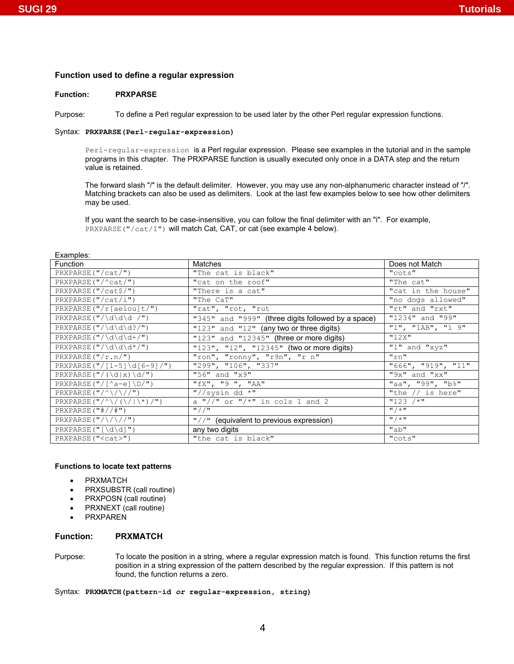# **Function used to define a regular expression**

# **Function: PRXPARSE**

Purpose: To define a Perl regular expression to be used later by the other Perl regular expression functions.

# Syntax: **PRXPARSE(Perl-regular-expression)**

Perl-regular-expression is a Perl regular expression. Please see examples in the tutorial and in the sample programs in this chapter. The PRXPARSE function is usually executed only once in a DATA step and the return value is retained.

The forward slash "/" is the default delimiter. However, you may use any non-alphanumeric character instead of "/". Matching brackets can also be used as delimiters. Look at the last few examples below to see how other delimiters may be used.

If you want the search to be case-insensitive, you can follow the final delimiter with an "i". For example, PRXPARSE ("/cat/I") will match Cat, CAT, or cat (see example 4 below).

| Examples:                                                                    |                                                    |                                     |  |  |
|------------------------------------------------------------------------------|----------------------------------------------------|-------------------------------------|--|--|
| <b>Function</b>                                                              | Matches                                            | Does not Match                      |  |  |
| PRXPARSE("/cat/")                                                            | "The cat is black"                                 | "cots"                              |  |  |
| PRXPARSE $(''/$ $'cat/")$                                                    | "cat on the roof"                                  | "The cat"                           |  |  |
| PRXPARSE $(''/cat$ $')$                                                      | "There is a cat"                                   | "cat in the house"                  |  |  |
| PRXPARSE("/cat/i")                                                           | "The CaT"                                          | "no dogs allowed"                   |  |  |
| PRXPARSE $(''/r[aeiou]t/")$                                                  | "rat", "rot, "rut                                  | "rt" and "rxt"                      |  |  |
| PRXPARSE(''/d/d/d'/")                                                        | "345" and "999" (three digits followed by a space) | "1234" and "99"                     |  |  |
| $PRXPARSE(''/\d\ddot\ddot{})/")$                                             | "123" and "12" (any two or three digits)           | "1", "1AB", "1 9"                   |  |  |
| $PRXPARSE(''/d/d/d+/")$                                                      | " $123"$ and " $12345"$ (three or more digits)     | "12X"                               |  |  |
| PRXPARSE("/\d\d\d*/")                                                        | "123", "12", "12345" (two or more digits)          | "1" and "xyz"                       |  |  |
| PRXPARSE $(''/r.n/")$                                                        | "ron", "ronny", "r9n", "r n"                       | "r <sub>n</sub>                     |  |  |
| PRXPARSE ("/[1-5]\d[6-9]/")                                                  | "299", "106", "337"                                | "666", "919", "11"                  |  |  |
| PRXPARSE $(\prime'/(\dvert x)\dvert)/\dprime$ ")                             | "56" and "x9"                                      | " $9x$ " and " $xx$ "               |  |  |
| PRXPARSE $("/[^a-e]\D,'")$                                                   | "fx", "9", "AA"                                    | "aa", "99", "b%"                    |  |  |
| PRXPARSE $(\prime'/\land)/\land/\prime$ ")                                   | "//sysin dd *"                                     | "the // is here"                    |  |  |
| PRXPARSE $(\cdot / \wedge \setminus / (\setminus / \setminus \ast) / \cdot)$ | a "//" or "/*" in cols 1 and 2                     | $"123$ /*"                          |  |  |
| PRXPARSE("#//#")                                                             | $"$ / / "                                          | $\mathbf{u}/\mathbf{v}$             |  |  |
| PRXPARSE $("/\n\/\n\/\n\)/"$                                                 | "//" (equivalent to previous expression)           | $\mathbf{u}$ / $\star$ $\mathbf{u}$ |  |  |
| PRXPARSE $(\prime'[\d{d}]\')$                                                | any two digits                                     | "ab"                                |  |  |
| PRXPARSE (" <cat>")</cat>                                                    | "the cat is black"                                 | "cots"                              |  |  |

# **Functions to locate text patterns**

- **PRXMATCH**
- PRXSUBSTR (call routine)
- PRXPOSN (call routine)
- PRXNEXT (call routine)
- PRXPAREN

# **Function: PRXMATCH**

Purpose: To locate the position in a string, where a regular expression match is found. This function returns the first position in a string expression of the pattern described by the regular expression. If this pattern is not found, the function returns a zero.

Syntax: **PRXMATCH(pattern-id** *or* **regular-expression, string)**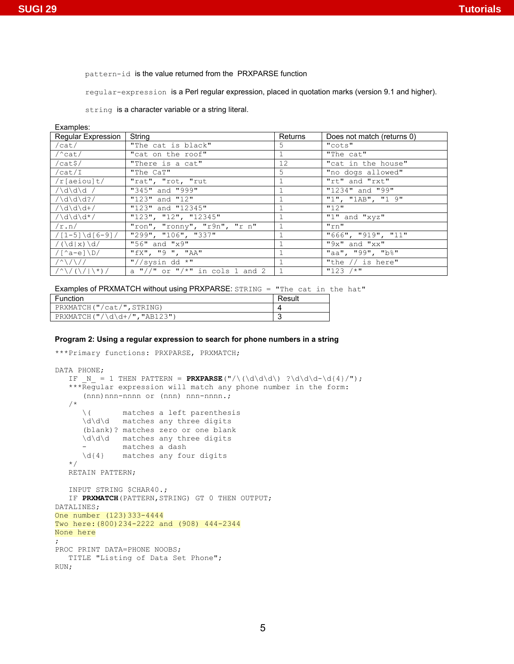# pattern-id is the value returned from the PRXPARSE function

regular-expression is a Perl regular expression, placed in quotation marks (version 9.1 and higher).

string is a character variable or a string literal.

| Examples: |  |
|-----------|--|
|-----------|--|

| Regular Expression                          | String                         | Returns     | Does not match (returns 0) |
|---------------------------------------------|--------------------------------|-------------|----------------------------|
| /cat/                                       | "The cat is black"             | 5           | "cots"                     |
| /^cat/                                      | "cat on the roof"              |             | "The cat"                  |
| /cat\$/                                     | "There is a cat"               | 12          | "cat in the house"         |
| /cat/I                                      | "The CaT"                      | 5           | "no dogs allowed"          |
| /r[aeiou]t/                                 | "rat", "rot, "rut              |             | "rt" and "rxt"             |
| $/\ddot{d}d/d /$                            | "345" and "999"                |             | "1234" and "99"            |
| /\d\d\d?/                                   | "123" and "12"                 |             | "1", "1AB", "1 9"          |
| /\d\d\d+/                                   | "123" and "12345"              |             | "12"                       |
| /\d\d\d*/                                   | "123", "12", "12345"           | 1           | "1" and "xyz"              |
| /r.n/                                       | "ron", "ronny", "r9n", "r n"   | $\mathbf 1$ | "r <sub>n</sub>            |
| $/[1-5]\ddot{\text{6}}-9]/$                 | "299", "106", "337"            |             | "666", "919", "11"         |
| $/$ (\d x) \d/                              | "56" and "x9"                  |             | " $9x$ " and " $xx$ "      |
| /[^a-e]\D/                                  | "fx", "9", "AA"                |             | "aa", "99", "b%"           |
| $1^{\wedge}\$ / $\setminus$ //              | "//sysin dd *"                 |             | "the $//$ is here"         |
| $/ \wedge \wedge / ( \wedge /   \wedge * )$ | a "//" or "/*" in cols 1 and 2 | 1           | $"123$ /*"                 |

Examples of PRXMATCH without using PRXPARSE: STRING = "The cat in the hat"

| Function                    | Result |
|-----------------------------|--------|
| PRXMATCH("/cat/",STRING)    |        |
| PRXMATCH("/\d\d+/","AB123") | J      |

### <span id="page-4-0"></span>**Program 2: Using a regular expression to search for phone numbers in a string**

```
***Primary functions: PRXPARSE, PRXMATCH;
```

```
DATA PHONE; 
   IF N = 1 THEN PATTERN = PRXPARSE("/\(\d\d\d\) ?\d\d\d-\d{4}/");
   ***Regular expression will match any phone number in the form:
      (nnn)nnn-nnnn or (nnn) nnn-nnnn.;
   \frac{1}{\sqrt{2}}matches a left parenthesis
       \d\d\d matches any three digits 
       (blank)? matches zero or one blank 
       \d\d\d matches any three digits 
       - matches a dash 
       \d{4} matches any four digits 
    */ 
    RETAIN PATTERN; 
    INPUT STRING $CHAR40.; 
   IF PRXMATCH(PATTERN,STRING) GT 0 THEN OUTPUT; 
DATALINES; 
One number (123)333-4444 
Two here:(800)234-2222 and (908) 444-2344 
None here 
; 
PROC PRINT DATA=PHONE NOOBS;
   TITLE "Listing of Data Set Phone"; 
RUN;
```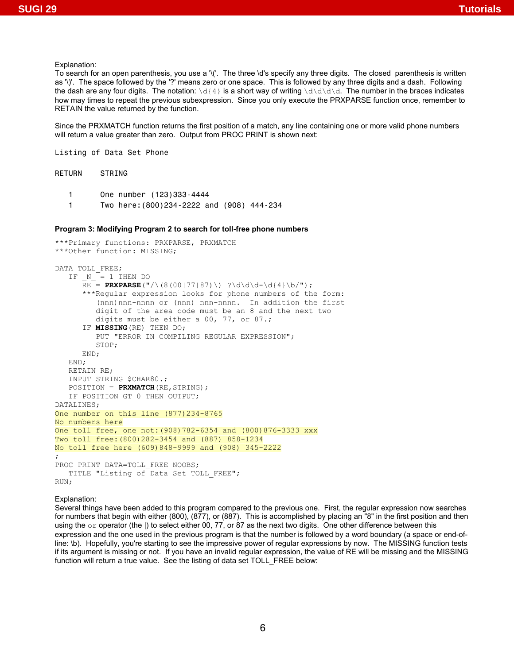# **SUGI 29 Tutorials**

#### Explanation:

To search for an open parenthesis, you use a '\('. The three \d's specify any three digits. The closed parenthesis is written as '\)'. The space followed by the '?' means zero or one space. This is followed by any three digits and a dash. Following the dash are any four digits. The notation:  $\{d\}4\}$  is a short way of writing  $\{d\}d\}d\ldots$  The number in the braces indicates how may times to repeat the previous subexpression. Since you only execute the PRXPARSE function once, remember to RETAIN the value returned by the function.

Since the PRXMATCH function returns the first position of a match, any line containing one or more valid phone numbers will return a value greater than zero. Output from PROC PRINT is shown next:

```
Listing of Data Set Phone 
RETURN STRING 
    1 One number (123)333-4444 
    1 Two here:(800)234-2222 and (908) 444-234
Program 3: Modifying Program 2 to search for toll-free phone numbers
***Primary functions: PRXPARSE, PRXMATCH 
***Other function: MISSING; 
DATA TOLL FREE;
```

```
IF N = 1 THEN DO
      RE = PRXPARSE("/\(8(00|77|87)\) ?\d\d\d-\d{4}\b/");
       ***Regular expression looks for phone numbers of the form: 
         (nnn)nnn-nnnn or (nnn) nnn-nnnn. In addition the first
          digit of the area code must be an 8 and the next two 
          digits must be either a 00, 77, or 87.; 
       IF MISSING(RE) THEN DO; 
          PUT "ERROR IN COMPILING REGULAR EXPRESSION"; 
          STOP; 
       END; 
    END; 
    RETAIN RE; 
    INPUT STRING $CHAR80.; 
   POSITION = PRXMATCH(RE, STRING);
   IF POSITION GT 0 THEN OUTPUT; 
DATALINES; 
One number on this line (877) 234-8765
No numbers here 
One toll free, one not:(908)782-6354 and (800)876-3333 xxx 
Two toll free:(800)282-3454 and (887) 858-1234 
No toll free here (609)848-9999 and (908) 345-2222 
; 
PROC PRINT DATA=TOLL FREE NOOBS;
   TITLE "Listing of Data Set TOLL FREE";
RUN;
```
Explanation:

Several things have been added to this program compared to the previous one. First, the regular expression now searches for numbers that begin with either (800), (877), or (887). This is accomplished by placing an "8" in the first position and then using the  $\circ$ r operator (the |) to select either 00, 77, or 87 as the next two digits. One other difference between this expression and the one used in the previous program is that the number is followed by a word boundary (a space or end-ofline: \b). Hopefully, you're starting to see the impressive power of regular expressions by now. The MISSING function tests if its argument is missing or not. If you have an invalid regular expression, the value of RE will be missing and the MISSING function will return a true value. See the listing of data set TOLL\_FREE below: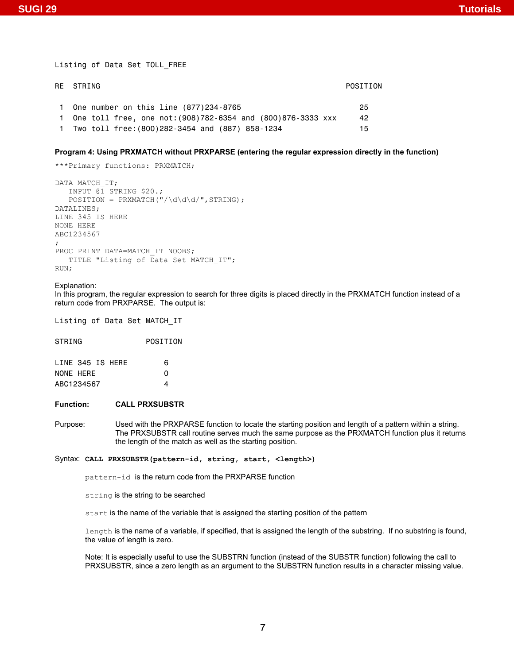Listing of Data Set TOLL\_FREE RE STRING POSITION

| 1 One number on this line (877)234-8765                         | 25  |
|-----------------------------------------------------------------|-----|
| 1 One toll free, one not: (908) 782-6354 and (800) 876-3333 xxx | 42  |
| 1 Two toll free:(800)282-3454 and (887) 858-1234                | 15. |

**Program 4: Using PRXMATCH without PRXPARSE (entering the regular expression directly in the function)** 

```
***Primary functions: PRXMATCH; 
DATA MATCH IT;
  INPUT \mathbb{R}^1 STRING $20.;
   POSITION = PRXMATCH("/\d\d\d/", STRING);
DATALINES; 
LINE 345 IS HERE 
NONE HERE 
ABC1234567 
; 
PROC PRINT DATA=MATCH IT NOOBS;
   TITLE "Listing of Data Set MATCH IT";
RUN;
```
#### Explanation:

In this program, the regular expression to search for three digits is placed directly in the PRXMATCH function instead of a return code from PRXPARSE. The output is:

Listing of Data Set MATCH\_IT

STRING POSITION

| LINE 345 IS HERE |  | 6 |
|------------------|--|---|
| NONE HERE        |  | n |
| ABC1234567       |  | Δ |

## **Function: CALL PRXSUBSTR**

Purpose: Used with the PRXPARSE function to locate the starting position and length of a pattern within a string. The PRXSUBSTR call routine serves much the same purpose as the PRXMATCH function plus it returns the length of the match as well as the starting position.

### Syntax: **CALL PRXSUBSTR(pattern-id, string, start, <length>)**

pattern-id is the return code from the PRXPARSE function

string is the string to be searched

start is the name of the variable that is assigned the starting position of the pattern

length is the name of a variable, if specified, that is assigned the length of the substring. If no substring is found, the value of length is zero.

Note: It is especially useful to use the SUBSTRN function (instead of the SUBSTR function) following the call to PRXSUBSTR, since a zero length as an argument to the SUBSTRN function results in a character missing value.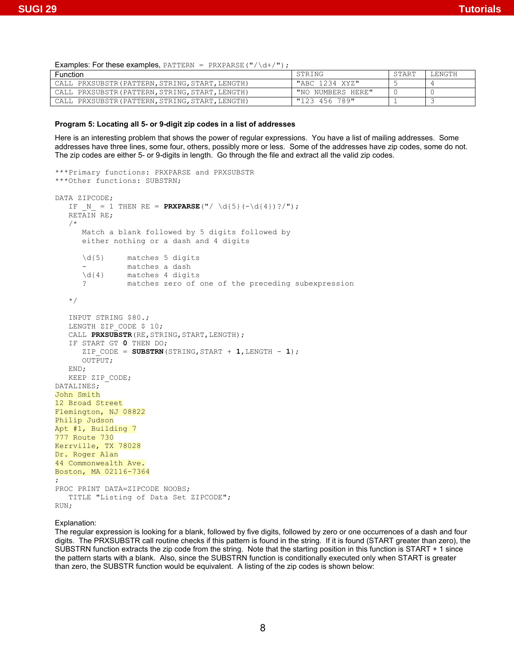| <b>Examples: For these examples, PATTERN</b> = PRXPARSE ( $\sqrt{d+1}$ ); |  |
|---------------------------------------------------------------------------|--|
|---------------------------------------------------------------------------|--|

| <b>Function</b>                                 | STRING            | START | LENGTH |
|-------------------------------------------------|-------------------|-------|--------|
| CALL PRXSUBSTR (PATTERN, STRING, START, LENGTH) | "ABC 1234 XYZ"    |       |        |
| CALL PRXSUBSTR (PATTERN, STRING, START, LENGTH) | "NO NUMBERS HERE" |       |        |
| CALL PRXSUBSTR (PATTERN, STRING, START, LENGTH) | "123 456 789"     |       |        |

# **Program 5: Locating all 5- or 9-digit zip codes in a list of addresses**

Here is an interesting problem that shows the power of regular expressions. You have a list of mailing addresses. Some addresses have three lines, some four, others, possibly more or less. Some of the addresses have zip codes, some do not. The zip codes are either 5- or 9-digits in length. Go through the file and extract all the valid zip codes.

```
***Primary functions: PRXPARSE and PRXSUBSTR 
***Other functions: SUBSTRN; 
DATA ZIPCODE; 
   IF N = 1 THEN RE = PRXPARSE("/ \ddot{\ddot{5}}(-\ddot{4})?/");
   RETAIN RE;
    /* 
       Match a blank followed by 5 digits followed by 
       either nothing or a dash and 4 digits 
       \d{5} matches 5 digits 
                matches a dash
       \d{4} matches 4 digits 
       ? matches zero of one of the preceding subexpression 
    */ 
    INPUT STRING $80.; 
   LENGTH ZIP CODE $ 10;
   CALL PRXSUBSTR(RE, STRING, START, LENGTH);
    IF START GT 0 THEN DO; 
      ZIP CODE = SUBSTRN(STRING, START + 1, LENGTH - 1);
       OUTPUT; 
    END; 
    KEEP ZIP_CODE; 
DATALINES; 
John Smith 
12 Broad Street 
Flemington, NJ 08822 
Philip Judson 
Apt #1, Building 7 
777 Route 730 
Kerrville, TX 78028 
Dr. Roger Alan 
44 Commonwealth Ave. 
Boston, MA 02116-7364 
; 
PROC PRINT DATA=ZIPCODE NOOBS; 
    TITLE "Listing of Data Set ZIPCODE"; 
RUN;
```
# Explanation:

The regular expression is looking for a blank, followed by five digits, followed by zero or one occurrences of a dash and four digits. The PRXSUBSTR call routine checks if this pattern is found in the string. If it is found (START greater than zero), the SUBSTRN function extracts the zip code from the string. Note that the starting position in this function is START + 1 since the pattern starts with a blank. Also, since the SUBSTRN function is conditionally executed only when START is greater than zero, the SUBSTR function would be equivalent. A listing of the zip codes is shown below: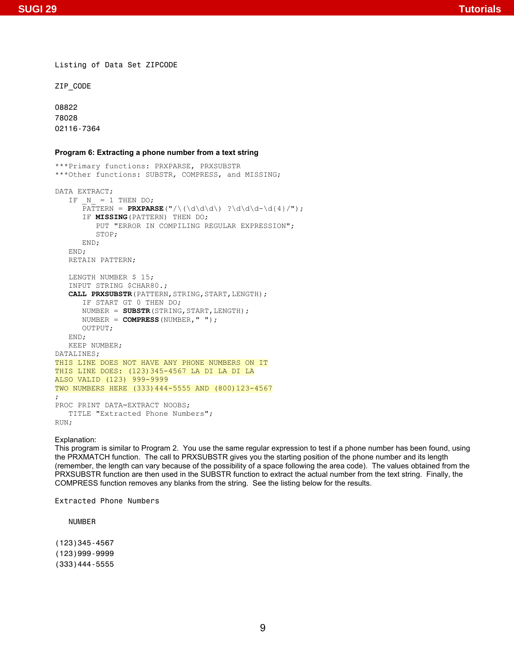Listing of Data Set ZIPCODE ZIP\_CODE 08822 78028 02116-7364 **Program 6: Extracting a phone number from a text string** \*\*\*Primary functions: PRXPARSE, PRXSUBSTR \*\*\*Other functions: SUBSTR, COMPRESS, and MISSING; DATA EXTRACT; IF  $N = 1$  THEN DO;  $\overline{PATTERN}$  =  $\overline{PRXPARSE}$ ("/\(\d\d\d\) ?\d\d\d-\d{4}/"); IF **MISSING**(PATTERN) THEN DO; PUT "ERROR IN COMPILING REGULAR EXPRESSION"; STOP; END; END; RETAIN PATTERN; LENGTH NUMBER \$ 15; INPUT STRING \$CHAR80.; CALL PRXSUBSTR (PATTERN, STRING, START, LENGTH) ; IF START GT 0 THEN DO; NUMBER = **SUBSTR**(STRING, START, LENGTH); NUMBER = **COMPRESS**(NUMBER," "); OUTPUT; END; KEEP NUMBER; DATALINES; THIS LINE DOES NOT HAVE ANY PHONE NUMBERS ON IT THIS LINE DOES: (123)345-4567 LA DI LA DI LA ALSO VALID (123) 999-9999 TWO NUMBERS HERE (333)444-5555 AND (800)123-4567 ; PROC PRINT DATA=EXTRACT NOOBS; TITLE "Extracted Phone Numbers"; RUN;

## Explanation:

This program is similar to [Program 2.](#page-4-0) You use the same regular expression to test if a phone number has been found, using the PRXMATCH function. The call to PRXSUBSTR gives you the starting position of the phone number and its length (remember, the length can vary because of the possibility of a space following the area code). The values obtained from the PRXSUBSTR function are then used in the SUBSTR function to extract the actual number from the text string. Finally, the COMPRESS function removes any blanks from the string. See the listing below for the results.

Extracted Phone Numbers

NUMBER

(123)345-4567 (123)999-9999 (333)444-5555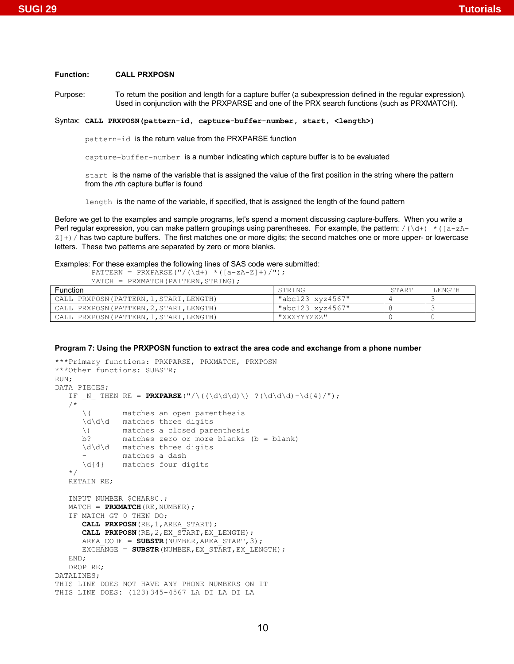# **Function: CALL PRXPOSN**

Purpose: To return the position and length for a capture buffer (a subexpression defined in the regular expression). Used in conjunction with the PRXPARSE and one of the PRX search functions (such as PRXMATCH).

#### Syntax: **CALL PRXPOSN(pattern-id, capture-buffer-number, start, <length>)**

pattern-id is the return value from the PRXPARSE function

capture-buffer-number is a number indicating which capture buffer is to be evaluated

start is the name of the variable that is assigned the value of the first position in the string where the pattern from the *n*th capture buffer is found

length is the name of the variable, if specified, that is assigned the length of the found pattern

Before we get to the examples and sample programs, let's spend a moment discussing capture-buffers. When you write a Perl regular expression, you can make pattern groupings using parentheses. For example, the pattern:  $/(d+) * (a-zA Z$ ] +  $/$  has two capture buffers. The first matches one or more digits; the second matches one or more upper- or lowercase letters. These two patterns are separated by zero or more blanks.

#### Examples: For these examples the following lines of SAS code were submitted:

PATTERN = PRXPARSE("/ $(\forall d+)$  \*([a-zA-Z]+)/");

MATCH = PRXMATCH (PATTERN, STRING) ;

| Function                                 | STRING           | START | LENGTH |
|------------------------------------------|------------------|-------|--------|
| CALL PRXPOSN (PATTERN, 1, START, LENGTH) | "abc123 xvz4567" |       |        |
| CALL PRXPOSN (PATTERN, 2, START, LENGTH) | "abc123 xvz4567" |       |        |
| CALL PRXPOSN (PATTERN, 1, START, LENGTH) | "XXXYYYZZZ"      |       |        |

### **Program 7: Using the PRXPOSN function to extract the area code and exchange from a phone number**

```
***Primary functions: PRXPARSE, PRXMATCH, PRXPOSN 
***Other functions: SUBSTR; 
RIIN:
DATA PIECES; 
   IF _N THEN RE = PRXPARSE("/\((\d\d\d)\) ?(\d\d\d)-\d{4}/");
    /* 
       \( matches an open parenthesis<br>\d\d\d matches three digits
       \d\d\d matches three digits<br>\) matches a closed pare
       \) matches a closed parenthesis 
       b? matches zero or more blanks (b = blank)<br>\d{d}{d} matches three digits
                 matches three digits
                 matches a dash
        \d{4} matches four digits 
    */ 
    RETAIN RE; 
    INPUT NUMBER $CHAR80.; 
   MATCH = PRXMATCH(RE, NUMBER);
    IF MATCH GT 0 THEN DO; 
       CALL PRXPOSN(RE,1,AREA_START); 
       CALL PRXPOSN(RE,2,EX_START,EX_LENGTH); 
      AREA CODE = SUBSTR(N\overline{U}MBER, AREA START,3);EXCHANGE = SUBSTR(NUMBER, EX START, EX LENGTH);
    END; 
    DROP RE; 
DATALINES; 
THIS LINE DOES NOT HAVE ANY PHONE NUMBERS ON IT 
THIS LINE DOES: (123)345-4567 LA DI LA DI LA
```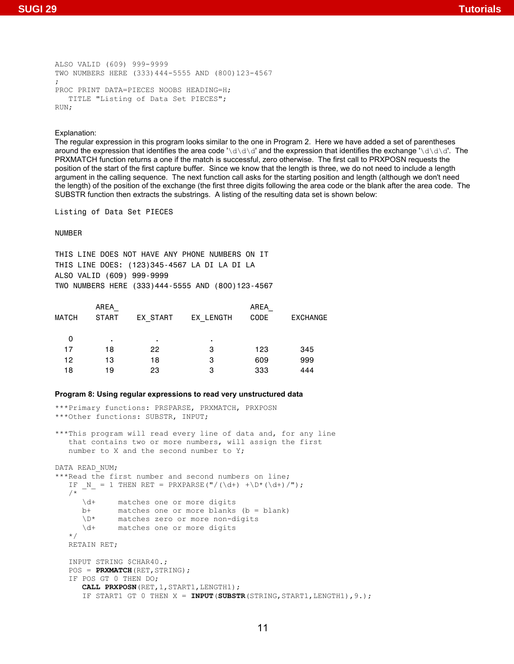ALSO VALID (609) 999-9999 TWO NUMBERS HERE (333)444-5555 AND (800)123-4567 ; PROC PRINT DATA=PIECES NOOBS HEADING=H; TITLE "Listing of Data Set PIECES"; RUN;

Explanation:

The regular expression in this program looks similar to the one in [Program 2.](#page-4-0) Here we have added a set of parentheses around the expression that identifies the area code '\d\d\d' and the expression that identifies the exchange '\d\d\d'. The PRXMATCH function returns a one if the match is successful, zero otherwise. The first call to PRXPOSN requests the position of the start of the first capture buffer. Since we know that the length is three, we do not need to include a length argument in the calling sequence. The next function call asks for the starting position and length (although we don't need the length) of the position of the exchange (the first three digits following the area code or the blank after the area code. The SUBSTR function then extracts the substrings. A listing of the resulting data set is shown below:

Listing of Data Set PIECES

## NUMBER

THIS LINE DOES NOT HAVE ANY PHONE NUMBERS ON IT THIS LINE DOES: (123)345-4567 LA DI LA DI LA ALSO VALID (609) 999-9999 TWO NUMBERS HERE (333)444-5555 AND (800)123-4567

|       | AREA         |          |           | AREA |                 |
|-------|--------------|----------|-----------|------|-----------------|
| MATCH | <b>START</b> | EX START | EX LENGTH | CODE | <b>EXCHANGE</b> |
|       |              |          |           |      |                 |
| 0     | ٠            | ٠        | ٠         |      |                 |
| 17    | 18           | 22       | 3         | 123  | 345             |
| 12    | 13           | 18       | 3         | 609  | 999             |
| 18    | 19           | 23       | 3         | 333  | 444             |
|       |              |          |           |      |                 |

## **Program 8: Using regular expressions to read very unstructured data**

```
***Primary functions: PRSPARSE, PRXMATCH, PRXPOSN 
***Other functions: SUBSTR, INPUT; 
***This program will read every line of data and, for any line 
    that contains two or more numbers, will assign the first 
   number to X and the second number to Y; 
DATA READ_NUM; 
***Read the first number and second numbers on line; 
   IF _N = 1 THEN RET = PRXPARSE("/(\d+) +\D*(\d+)/");
    /* 
      \d+ matches one or more digits 
      b+ matches one or more blanks (b = blank) 
      \D* matches zero or more non-digits 
      \d+ matches one or more digits 
    */ 
   RETAIN RET; 
    INPUT STRING $CHAR40.; 
  POS = PRXMATCH(RET, STRING);
    IF POS GT 0 THEN DO; 
      CALL PRXPOSN(RET,1,START1,LENGTH1); 
       IF START1 GT 0 THEN X = INPUT(SUBSTR(STRING,START1,LENGTH1),9.);
```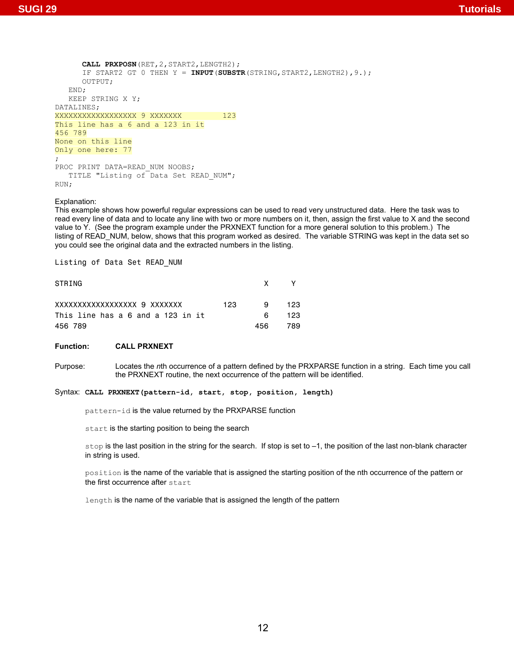**CALL PRXPOSN**(RET,2,START2,LENGTH2); IF START2 GT 0 THEN Y = **INPUT**(**SUBSTR**(STRING,START2,LENGTH2),9.); OUTPUT; END; KEEP STRING X Y; DATALINES; XXXXXXXXXXXXXXXXXX 9 XXXXXXX 123 This line has a 6 and a 123 in it 456 789 None on this line Only one here: 77 ; PROC PRINT DATA=READ NUM NOOBS; TITLE "Listing of Data Set READ NUM"; RUN;

Explanation:

This example shows how powerful regular expressions can be used to read very unstructured data. Here the task was to read every line of data and to locate any line with two or more numbers on it, then, assign the first value to X and the second value to Y. (See the program example under the PRXNEXT function for a more general solution to this problem.) The listing of READ, NUM, below, shows that this program worked as desired. The variable STRING was kept in the data set so you could see the original data and the extracted numbers in the listing.

Listing of Data Set READ\_NUM

| STRING                            |     |      | X Y |
|-----------------------------------|-----|------|-----|
| XXXXXXXXXXXXXXXXXX 9 XXXXXXX      | 123 | -9   | 123 |
| This line has a 6 and a 123 in it |     | 6    | 123 |
| 456 789                           |     | 456. | 789 |

## **Function: CALL PRXNEXT**

Purpose: Locates the *n*th occurrence of a pattern defined by the PRXPARSE function in a string. Each time you call the PRXNEXT routine, the next occurrence of the pattern will be identified.

Syntax: **CALL PRXNEXT(pattern-id, start, stop, position, length)** 

pattern-id is the value returned by the PRXPARSE function

start is the starting position to being the search

stop is the last position in the string for the search. If stop is set to -1, the position of the last non-blank character in string is used.

position is the name of the variable that is assigned the starting position of the nth occurrence of the pattern or the first occurrence after start

length is the name of the variable that is assigned the length of the pattern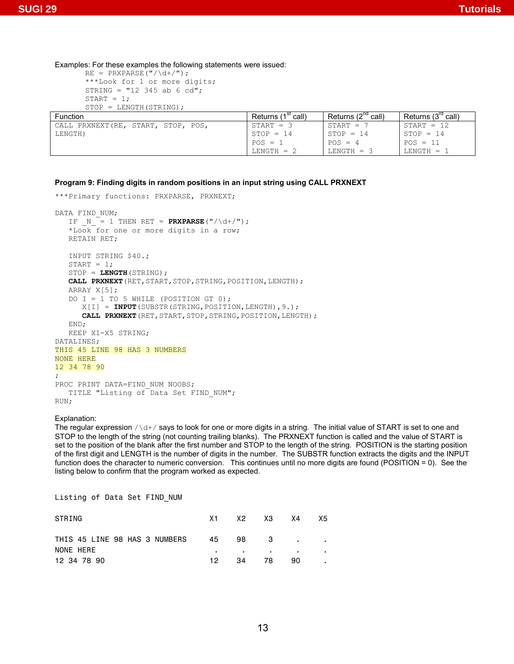Examples: For these examples the following statements were issued:

```
RE = PRXPARSE(''/\ddot{\ddot{\cdot}});
***Look for 1 or more digits;
STRING = "12 345 ab 6 cd";
START = 1;STOP = LENGTH(STRING);
```

| <b>Function</b>                     | call)<br>Returns (1 <sup>st</sup> | Returns (2 <sup>nd</sup><br>call) | Returns $(3^{10}$ call) |
|-------------------------------------|-----------------------------------|-----------------------------------|-------------------------|
| CALL PRXNEXT (RE, START, STOP, POS, | $START = 3$                       | $START =$                         | $START = 12$            |
| LENGTH)                             | $STOP = 14$                       | $STOP = 14$                       | $STOP = 14$             |
|                                     | $POS =$                           | $POS =$                           | $POS = 11$              |
|                                     | $LENGTH =$                        | LENGTH =                          | $LENGTH = 1$            |

## **Program 9: Finding digits in random positions in an input string using CALL PRXNEXT**

```
***Primary functions: PRXPARSE, PRXNEXT; 
DATA FIND_NUM; 
   IF N_{\text{I}} = 1 THEN RET = PRXPARSE("/\d+/");
    *Look for one or more digits in a row; 
    RETAIN RET; 
    INPUT STRING $40.; 
   START = 1;STOP = LENGTH (STRING) ;
   CALL PRXNEXT (RET, START, STOP, STRING, POSITION, LENGTH) ;
    ARRAY X[5]; 
   DO I = 1 TO 5 WHILE (POSITION GT 0);
       X[I] = INPUT(SUBSTR(STRING,POSITION,LENGTH),9.); 
      CALL PRXNEXT (RET, START, STOP, STRING, POSITION, LENGTH) ;
    END; 
    KEEP X1-X5 STRING; 
DATALINES; 
THIS 45 LINE 98 HAS 3 NUMBERS 
NONE HERE 
12 34 78 90 
; 
PROC PRINT DATA=FIND NUM NOOBS;
    TITLE "Listing of Data Set FIND_NUM"; 
RUN;
```
Explanation:

The regular expression  $/\dagger$  says to look for one or more digits in a string. The initial value of START is set to one and STOP to the length of the string (not counting trailing blanks). The PRXNEXT function is called and the value of START is set to the position of the blank after the first number and STOP to the length of the string. POSITION is the starting position of the first digit and LENGTH is the number of digits in the number. The SUBSTR function extracts the digits and the INPUT function does the character to numeric conversion. This continues until no more digits are found (POSITION = 0). See the listing below to confirm that the program worked as expected.

| Listing of Data Set FIND NUM  |     |          |     |            |    |
|-------------------------------|-----|----------|-----|------------|----|
| <b>STRING</b>                 |     | X1 X2 X3 |     | $\times 4$ | X5 |
| THIS 45 LINE 98 HAS 3 NUMBERS | 45  | 98       | - 3 |            |    |
| NONE HERE                     |     |          | . . |            |    |
| 12 34 78 90                   | 12. | 34.      | 78  | 90         |    |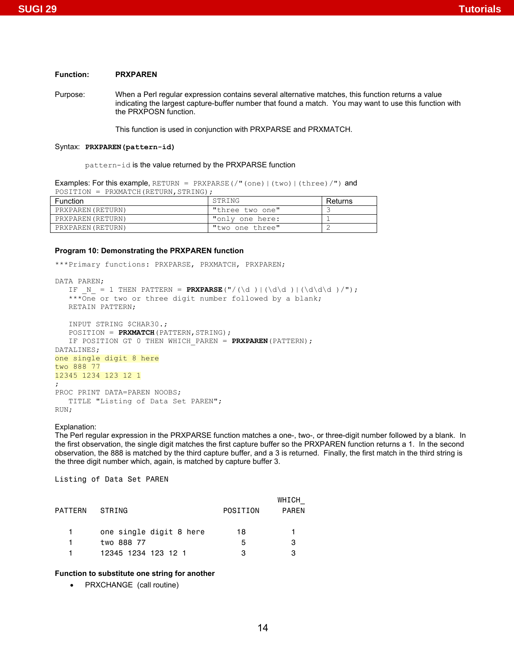# **Function: PRXPAREN**

Purpose: When a Perl regular expression contains several alternative matches, this function returns a value indicating the largest capture-buffer number that found a match. You may want to use this function with the PRXPOSN function.

This function is used in conjunction with PRXPARSE and PRXMATCH.

### Syntax: **PRXPAREN(pattern-id)**

#### pattern-id is the value returned by the PRXPARSE function

Examples: For this example, RETURN = PRXPARSE(/"(one)|(two)|(three)/") and POSITION = PRXMATCH(RETURN, STRING);

| Function          | STRING          | Returns |
|-------------------|-----------------|---------|
| PRXPAREN (RETURN) | "three two one" |         |
| PRXPAREN (RETURN) | "only one here: |         |
| PRXPAREN (RETURN) | "two one three" |         |

### **Program 10: Demonstrating the PRXPAREN function**

```
***Primary functions: PRXPARSE, PRXMATCH, PRXPAREN; 
DATA PAREN; 
   IF N = 1 THEN PATTERN = PRXPARSE("/(\d )|(\d\d )|(\d\d\d )/");
   ***One or two or three digit number followed by a blank;
    RETAIN PATTERN; 
    INPUT STRING $CHAR30.; 
   POSITION = PRXMATCH(PATTERN, STRING);
   IF POSITION GT 0 THEN WHICH PAREN = PRXPAREN(PATTERN);
DATALINES; 
one single digit 8 here 
two 888 77 
12345 1234 123 12 1 
; 
PROC PRINT DATA=PAREN NOOBS; 
    TITLE "Listing of Data Set PAREN"; 
RUN;
```
Explanation:

The Perl regular expression in the PRXPARSE function matches a one-, two-, or three-digit number followed by a blank. In the first observation, the single digit matches the first capture buffer so the PRXPAREN function returns a 1. In the second observation, the 888 is matched by the third capture buffer, and a 3 is returned. Finally, the first match in the third string is the three digit number which, again, is matched by capture buffer 3.

Listing of Data Set PAREN

| PATTERN | STRING                  | POSTTION | WHICH<br><b>PARFN</b> |
|---------|-------------------------|----------|-----------------------|
|         | one single digit 8 here | 18       |                       |
|         | two 888 77              | 5        | з                     |
|         | 12345 1234 123 12 1     | з        |                       |

## **Function to substitute one string for another**

• PRXCHANGE (call routine)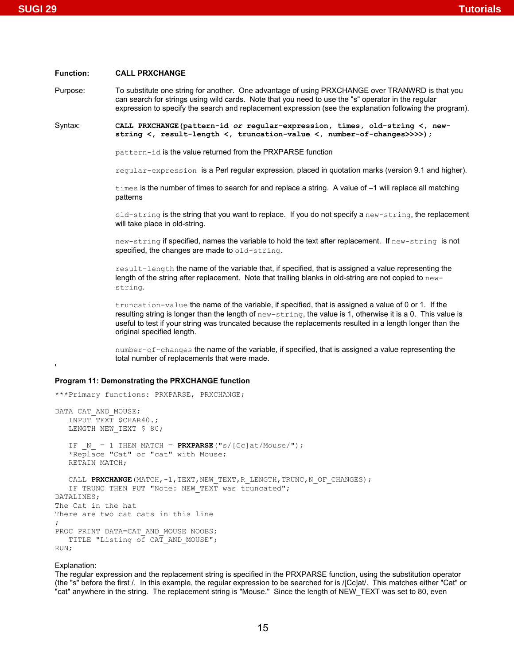## **Function: CALL PRXCHANGE**

Purpose: To substitute one string for another. One advantage of using PRXCHANGE over TRANWRD is that you can search for strings using wild cards. Note that you need to use the "s" operator in the regular expression to specify the search and replacement expression (see the explanation following the program).

Syntax: **CALL PRXCHANGE(pattern-id** *or* **regular-expression, times, old-string <, newstring <, result-length <, truncation-value <, number-of-changes>>>>);** 

pattern-id is the value returned from the PRXPARSE function

regular-expression is a Perl regular expression, placed in quotation marks (version 9.1 and higher).

times is the number of times to search for and replace a string. A value of –1 will replace all matching patterns

 $old\text{-string}$  is the string that you want to replace. If you do not specify a new-string, the replacement will take place in old-string.

new-string if specified, names the variable to hold the text after replacement. If new-string is not specified, the changes are made to old-string.

result-length the name of the variable that, if specified, that is assigned a value representing the length of the string after replacement. Note that trailing blanks in old-string are not copied to newstring.

truncation-value the name of the variable, if specified, that is assigned a value of 0 or 1. If the resulting string is longer than the length of new-string, the value is 1, otherwise it is a 0. This value is useful to test if your string was truncated because the replacements resulted in a length longer than the original specified length.

number-of-changes the name of the variable, if specified, that is assigned a value representing the total number of replacements that were made.

# **Program 11: Demonstrating the PRXCHANGE function**

```
***Primary functions: PRXPARSE, PRXCHANGE; 
DATA CAT AND MOUSE;
    INPUT TEXT $CHAR40.; 
  LENGTH NEW TEXT $ 80;
   IF N = 1 THEN MATCH = PRXPARSE("s/[Cc]at/Mouse/");
    *Replace "Cat" or "cat" with Mouse; 
   RETAIN MATCH; 
   CALL PRXCHANGE (MATCH, -1, TEXT, NEW TEXT, R LENGTH, TRUNC, N OF CHANGES);
   IF TRUNC THEN PUT "Note: NEW TEXT was truncated";
DATALINES; 
The Cat in the hat 
There are two cat cats in this line 
; 
PROC PRINT DATA=CAT AND MOUSE NOOBS;
  TITLE "Listing of CAT AND MOUSE";
RUN;
```
# Explanation:

'

The regular expression and the replacement string is specified in the PRXPARSE function, using the substitution operator (the "s" before the first /. In this example, the regular expression to be searched for is /[Cc]at/. This matches either "Cat" or "cat" anywhere in the string. The replacement string is "Mouse." Since the length of NEW\_TEXT was set to 80, even